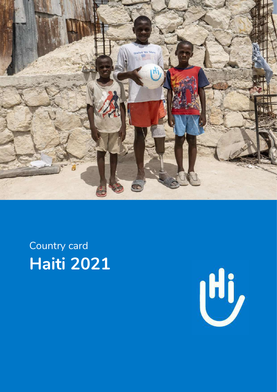

Country card **Haiti 2021** 

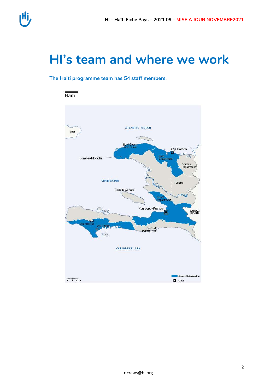

### HI's team and where we work

#### The Haiti programme team has 54 staff members.



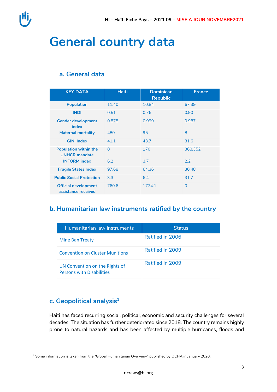

## **General country data**

#### **a. General data**

| <b>KEY DATA</b>                                      | <b>Haiti</b> | <b>Dominican</b><br><b>Republic</b> | <b>France</b> |
|------------------------------------------------------|--------------|-------------------------------------|---------------|
| <b>Population</b>                                    | 11.40        | 10.84                               | 67.39         |
| <b>IHDI</b>                                          | 0.51         | 0.76                                | 0.90          |
| <b>Gender development</b><br>index                   | 0.875        | 0.999                               | 0.987         |
| <b>Maternal mortality</b>                            | 480          | 95                                  | 8             |
| <b>GINI Index</b>                                    | 41.1         | 43.7                                | 31.6          |
| <b>Population within the</b><br><b>UNHCR mandate</b> | 8            | 170                                 | 368,352       |
| <b>INFORM</b> index                                  | 6.2          | 3.7                                 | 2.2           |
| <b>Fragile States Index</b>                          | 97.68        | 64.36                               | 30.48         |
| <b>Public Social Protection</b>                      | 3.3          | 6.4                                 | 31.7          |
| <b>Official development</b><br>assistance received   | 760.6        | 1774.1                              | 0             |

#### **b. Humanitarian law instruments ratified by the country**

| Humanitarian law instruments                                       | <b>Status</b>    |
|--------------------------------------------------------------------|------------------|
| <b>Mine Ban Treaty</b>                                             | Ratified in 2006 |
| <b>Convention on Cluster Munitions</b>                             | Ratified in 2009 |
| UN Convention on the Rights of<br><b>Persons with Disabilities</b> | Ratified in 2009 |

### **c. Geopolitical analysis<sup>1</sup>**

 $\overline{a}$ 

Haiti has faced recurring social, political, economic and security challenges for several decades. The situation has further deteriorated since 2018. The country remains highly prone to natural hazards and has been affected by multiple hurricanes, floods and

 $1$  Some information is taken from the "Global Humanitarian Overview" published by OCHA in January 2020.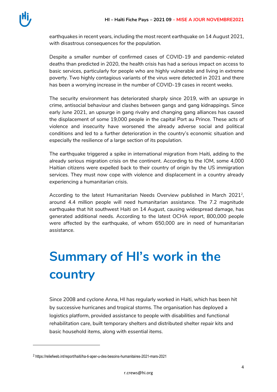earthquakes in recent years, including the most recent earthquake on 14 August 2021, with disastrous consequences for the population.

Despite a smaller number of confirmed cases of COVID-19 and pandemic-related deaths than predicted in 2020, the health crisis has had a serious impact on access to basic services, particularly for people who are highly vulnerable and living in extreme poverty. Two highly contagious variants of the virus were detected in 2021 and there has been a worrying increase in the number of COVID-19 cases in recent weeks.

The security environment has deteriorated sharply since 2019, with an upsurge in crime, antisocial behaviour and clashes between gangs and gang kidnappings. Since early June 2021, an upsurge in gang rivalry and changing gang alliances has caused the displacement of some 19,000 people in the capital Port au Prince. These acts of violence and insecurity have worsened the already adverse social and political conditions and led to a further deterioration in the country's economic situation and especially the resilience of a large section of its population.

The earthquake triggered a spike in international migration from Haiti, adding to the already serious migration crisis on the continent. According to the IOM, some 4,000 Haitian citizens were expelled back to their country of origin by the US immigration services. They must now cope with violence and displacement in a country already experiencing a humanitarian crisis.

According to the latest Humanitarian Needs Overview published in March 2021<sup>2</sup>, around 4.4 million people will need humanitarian assistance. The 7.2 magnitude earthquake that hit southwest Haiti on 14 August, causing widespread damage, has generated additional needs. According to the latest OCHA report, 800,000 people were affected by the earthquake, of whom 650,000 are in need of humanitarian assistance.

# **Summary of HI's work in the country**

Since 2008 and cyclone Anna, HI has regularly worked in Haiti, which has been hit by successive hurricanes and tropical storms. The organisation has deployed a logistics platform, provided assistance to people with disabilities and functional rehabilitation care, built temporary shelters and distributed shelter repair kits and basic household items, along with essential items.

 $\overline{a}$ 

<sup>2</sup> https://reliefweb.int/report/haiti/ha-ti-aper-u-des-besoins-humanitaires-2021-mars-2021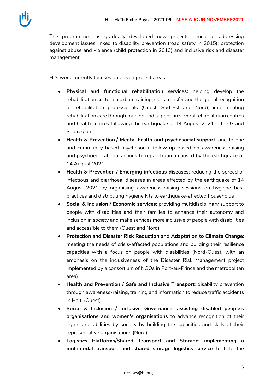The programme has gradually developed new projects aimed at addressing development issues linked to disability prevention (road safety in 2015), protection against abuse and violence (child protection in 2013) and inclusive risk and disaster management.

HI's work currently focuses on eleven project areas:

- **Physical and functional rehabilitation services:** helping develop the rehabilitation sector based on training, skills transfer and the global recognition of rehabilitation professionals (Ouest, Sud-Est and Nord); implementing rehabilitation care through training and support in several rehabilitation centres and health centres following the earthquake of 14 August 2021 in the Grand Sud region
- **Health & Prevention / Mental health and psychosocial support**: one-to-one and community-based psychosocial follow-up based on awareness-raising and psychoeducational actions to repair trauma caused by the earthquake of 14 August 2021
- **Health & Prevention / Emerging infectious diseases**: reducing the spread of infectious and diarrhoeal diseases in areas affected by the earthquake of 14 August 2021 by organising awareness-raising sessions on hygiene best practices and distributing hygiene kits to earthquake-affected households
- **Social & Inclusion / Economic services**: providing multidisciplinary support to people with disabilities and their families to enhance their autonomy and inclusion in society and make services more inclusive of people with disabilities and accessible to them (Ouest and Nord)
- **Protection and Disaster Risk Reduction and Adaptation to Climate Change**: meeting the needs of crisis-affected populations and building their resilience capacities with a focus on people with disabilities (Nord-Ouest, with an emphasis on the inclusiveness of the Disaster Risk Management project implemented by a consortium of NGOs in Port-au-Prince and the metropolitan area)
- **Health and Prevention / Safe and Inclusive Transport**: disability prevention through awareness-raising, training and information to reduce traffic accidents in Haiti (Ouest)
- **Social & Inclusion / Inclusive Governance: assisting disabled people's organisations and women's organisations** to advance recognition of their rights and abilities by society by building the capacities and skills of their representative organisations (Nord)
- **Logistics Platforms/Shared Transport and Storage: implementing a multimodal transport and shared storage logistics service** to help the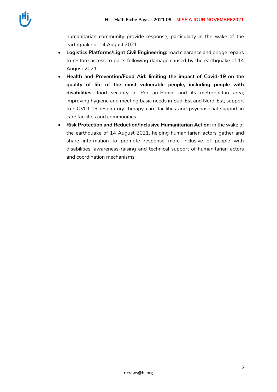humanitarian community provide response, particularly in the wake of the earthquake of 14 August 2021

- **Logistics Platforms/Light Civil Engineering:** road clearance and bridge repairs to restore access to ports following damage caused by the earthquake of 14 August 2021
- **Health and Prevention/Food Aid: limiting the impact of Covid-19 on the quality of life of the most vulnerable people, including people with disabilities:** food security in Port-au-Prince and its metropolitan area; improving hygiene and meeting basic needs in Sud-Est and Nord-Est; support to COVID-19 respiratory therapy care facilities and psychosocial support in care facilities and communities
- **Risk Protection and Reduction/Inclusive Humanitarian Action:** in the wake of the earthquake of 14 August 2021, helping humanitarian actors gather and share information to promote response more inclusive of people with disabilities; awareness-raising and technical support of humanitarian actors and coordination mechanisms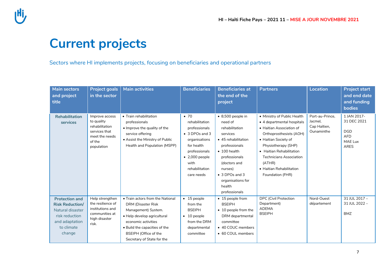## **Current projects**

Sectors where HI implements projects, focusing on beneficiaries and operational partners

| <b>Main sectors</b><br>and project<br>title                                                                                     | <b>Project goals</b><br>in the sector                                                                     | <b>Main activities</b>                                                                                                                                                                                                      | <b>Beneficiaries</b>                                                                                                                                                                | <b>Beneficiaries at</b><br>the end of the<br>project                                                                                                                                                                                                     | <b>Partners</b>                                                                                                                                                                                                                                                                         | <b>Location</b>                                          | <b>Project start</b><br>and end date<br>and funding<br><b>bodies</b>             |
|---------------------------------------------------------------------------------------------------------------------------------|-----------------------------------------------------------------------------------------------------------|-----------------------------------------------------------------------------------------------------------------------------------------------------------------------------------------------------------------------------|-------------------------------------------------------------------------------------------------------------------------------------------------------------------------------------|----------------------------------------------------------------------------------------------------------------------------------------------------------------------------------------------------------------------------------------------------------|-----------------------------------------------------------------------------------------------------------------------------------------------------------------------------------------------------------------------------------------------------------------------------------------|----------------------------------------------------------|----------------------------------------------------------------------------------|
| <b>Rehabilitation</b><br>services                                                                                               | Improve access<br>to quality<br>rehabilitation<br>services that<br>meet the needs<br>of the<br>population | • Train rehabilitation<br>professionals<br>. Improve the quality of the<br>service offering<br>• Assist the Ministry of Public<br>Health and Population (MSPP)                                                              | $\bullet$ 70<br>rehabilitation<br>professionals<br>• 3 DPOs and 3<br>organisations<br>for health<br>professionals<br>$\bullet$ 2,000 people<br>with<br>rehabilitation<br>care needs | $\bullet$ 8,500 people in<br>need of<br>rehabilitation<br>services<br>• 45 rehabilitation<br>professionals<br>$\bullet$ 100 health<br>professionals<br>(doctors and<br>nurses)<br>$\bullet$ 3 DPOs and 3<br>organisations for<br>health<br>professionals | • Ministry of Public Health<br>• 4 departmental hospitals<br>• Haitian Association of<br>Orthoprosthesists (AOH)<br>• Haitian Society of<br>Physiotherapy (SHP)<br>• Haitian Rehabilitation<br><b>Technicians Association</b><br>(ATHR)<br>• Haitian Rehabilitation<br>Foundation (FHR) | Port-au-Prince.<br>Jacmel,<br>Cap Haïtien,<br>Ounaminthe | 1 JAN 2017-<br>31 DEC 2021<br><b>DGD</b><br><b>AFD</b><br>MAE Lux<br><b>ARES</b> |
| <b>Protection and</b><br><b>Risk Reduction/</b><br>Natural disaster<br>risk reduction<br>and adaptation<br>to climate<br>change | Help strengthen<br>the resilience of<br>institutions and<br>communities at<br>high disaster<br>risk.      | • Train actors from the National<br>DRM (Disaster Risk<br>Management) System.<br>· Help develop agricultural<br>economic activities<br>• Build the capacities of the<br>BSEIPH (Office of the<br>Secretary of State for the | $\bullet$ 15 people<br>from the<br><b>BSEIPH</b><br>$\bullet$ 10 people<br>from the DRM<br>departmental<br>committee                                                                | • 15 people from<br><b>BSEIPH</b><br>• 10 people from the<br>DRM departmental<br>committee<br>• 40 COUC members<br>• 60 COUL members                                                                                                                     | <b>DPC</b> (Civil Protection<br>Department)<br><b>ADEMA</b><br><b>BSEIPH</b>                                                                                                                                                                                                            | Nord-Ouest<br>département                                | 31 JUL 2017 -<br>31 JUL 2022 -<br><b>BMZ</b>                                     |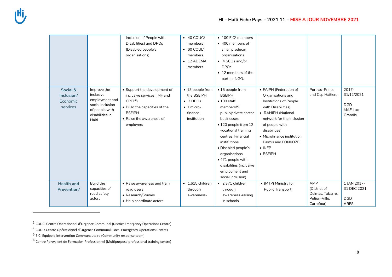$\overline{a}$ 

|                                                |                                                                                                              | Inclusion of People with<br>Disabilities) and DPOs<br>(Disabled people's<br>organisations)                                                                            | $\bullet$ 40 COUC <sup>3</sup><br>members<br>$\bullet$ 60 COUL <sup>4</sup><br>members.<br>$\bullet$ 12 ADEMA<br>members | $\bullet$ 100 EIC <sup>5</sup> members<br>• 400 members of<br>small producer<br>organisations<br>• 4 SCOs and/or<br><b>DPOs</b><br>• 12 members of the<br>partner NGO.                                                                                                                                                           |                                                                                                                                                                                                                                                                             |                                                                        |                                                            |
|------------------------------------------------|--------------------------------------------------------------------------------------------------------------|-----------------------------------------------------------------------------------------------------------------------------------------------------------------------|--------------------------------------------------------------------------------------------------------------------------|----------------------------------------------------------------------------------------------------------------------------------------------------------------------------------------------------------------------------------------------------------------------------------------------------------------------------------|-----------------------------------------------------------------------------------------------------------------------------------------------------------------------------------------------------------------------------------------------------------------------------|------------------------------------------------------------------------|------------------------------------------------------------|
| Social &<br>Inclusion/<br>Economic<br>services | Improve the<br>inclusive<br>employment and<br>social inclusion<br>of people with<br>disabilities in<br>Haiti | • Support the development of<br>inclusive services (IMF and<br>$C$ PFP $6$<br>• Build the capacities of the<br><b>BSEIPH</b><br>• Raise the awareness of<br>employers | • 15 people from<br>the BSEIPH<br>$\bullet$ 3 DPOs<br>$\bullet$ 1 micro-<br>finance<br>institution                       | • 15 people from<br><b>BSEIPH</b><br>$\bullet$ 100 staff<br>members/5<br>public/private sector<br>businesses<br>• 120 people from 12<br>vocational training<br>centres, Financial<br>institutions<br>· Disabled people's<br>organisations<br>• 471 people with<br>disabilities (inclusive<br>employment and<br>social inclusion) | • FAIPH (Federation of<br>Organisations and<br>Institutions of People<br>with Disabilities)<br>• RANIPH (National<br>network for the inclusion<br>of people with<br>disabilities)<br>• Microfinance institution<br>Palmis and FONKOZE<br>$\bullet$ INFP<br>$\bullet$ BSEIPH | Port-au-Prince<br>and Cap Haïtien,                                     | $2017 -$<br>31/12/2021<br><b>DGD</b><br>MAE Lux<br>Grandis |
| <b>Health and</b><br><b>Prevention/</b>        | <b>Build the</b><br>capacities of<br>road safety<br>actors                                                   | • Raise awareness and train<br>road users<br>• Research/Studies<br>• Help coordinate actors                                                                           | $\bullet$ 1,615 children<br>through<br>awareness-                                                                        | • 2.371 children<br>through<br>awareness-raising<br>in schools                                                                                                                                                                                                                                                                   | • (MTP) Ministry for<br>Public Transport                                                                                                                                                                                                                                    | AMP<br>(District of<br>Delmas, Tabarre,<br>Petion-Ville.<br>Carrefour) | 1 JAN 2017-<br>31 DEC 2021<br><b>DGD</b><br><b>ARES</b>    |

 $3$  COUC: Centre Opérationnel d'Urgence Communal (District Emergency Operations Centre)

<sup>4</sup> COUL: Centre Opérationnel d'Urgence Communal (Local Emergency Operations Centre)

<sup>5</sup> EIC: Equipe d'intervention Communautaire (Community response team)

 $6$  Centre Polyvalent de Formation Professionnel (Multipurpose professional training centre)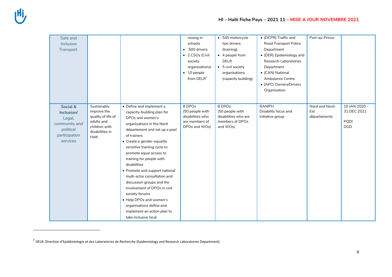$\overline{a}$ 

| Safe and<br>Inclusive<br>Transport                                                          |                                                                                                             |                                                                                                                                                                                                                                                                                                                                                                                                                                                                                                                                                            | raising in<br>schools<br>500 drivers<br>• 2 CSOs (Civil<br>society<br>organisations)<br>$\bullet$ 10 people<br>from DELR <sup>7</sup> | • 545 motorcycle<br>taxi drivers<br>(training)<br>$\bullet$ 4 people from<br><b>DELR</b><br>• 5 civil society<br>organisations<br>(capacity building) | • (DCPR) Traffic and<br>Road Transport Police<br>Department<br>• (DER) Epidemiology and<br>Research Laboratories<br>Department<br>• (CAN) National<br>Ambulance Centre<br>• (APC) Owners/Drivers<br>Organisation | Port-au-Prince                        |                                                          |
|---------------------------------------------------------------------------------------------|-------------------------------------------------------------------------------------------------------------|------------------------------------------------------------------------------------------------------------------------------------------------------------------------------------------------------------------------------------------------------------------------------------------------------------------------------------------------------------------------------------------------------------------------------------------------------------------------------------------------------------------------------------------------------------|---------------------------------------------------------------------------------------------------------------------------------------|-------------------------------------------------------------------------------------------------------------------------------------------------------|------------------------------------------------------------------------------------------------------------------------------------------------------------------------------------------------------------------|---------------------------------------|----------------------------------------------------------|
| Social &<br>Inclusion/<br>Legal,<br>community and<br>political<br>participation<br>services | Sustainably<br>improve the<br>quality of life of<br>adults and<br>children with<br>disabilities in<br>Haiti | • Define and implement a<br>capacity-building plan for<br>DPOs and women's<br>organisations in the Nord<br>département and set up a pool<br>of trainers<br>• Create a gender-equality<br>sensitive training cycle to<br>promote equal access to<br>training for people with<br>disabilities<br>• Promote and support national<br>multi-actor consultation and<br>discussion groups and the<br>involvement of DPOs in civil<br>society forums<br>• Help DPOs and women's<br>organisations define and<br>implement an action plan to<br>take inclusive local | 8 DPOs<br>(50 people with<br>disabilities who<br>are members of<br>DPOs and WOs)                                                      | 8 DPOs<br>(50 people with<br>disabilities who are<br>members of DPOs<br>and WOs)                                                                      | <b>RANIPH</b><br>Disability focus and<br>initiative group                                                                                                                                                        | Nord and Nord-<br>Est<br>départements | 10 JAN 2020-<br>31 DEC 2021<br><b>PQDI</b><br><b>DGD</b> |

<sup>7</sup> DELR: Direction d'Epidémiologie et des Laboratoires de Recherche (Epidemiology and Research Laboratories Department)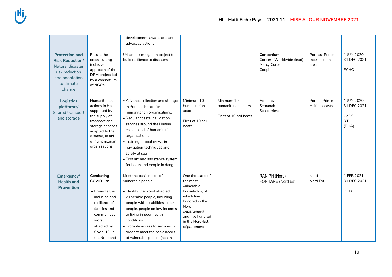|                                                                                                                                 |                                                                                                                                                                                   | development, awareness and<br>advocacy actions                                                                                                                                                                                                                                                                                                                |                                                                                                                                                                          |                                                             |                                                                 |                                        |                                                            |
|---------------------------------------------------------------------------------------------------------------------------------|-----------------------------------------------------------------------------------------------------------------------------------------------------------------------------------|---------------------------------------------------------------------------------------------------------------------------------------------------------------------------------------------------------------------------------------------------------------------------------------------------------------------------------------------------------------|--------------------------------------------------------------------------------------------------------------------------------------------------------------------------|-------------------------------------------------------------|-----------------------------------------------------------------|----------------------------------------|------------------------------------------------------------|
| <b>Protection and</b><br><b>Risk Reduction/</b><br>Natural disaster<br>risk reduction<br>and adaptation<br>to climate<br>change | Ensure the<br>cross-cutting<br>inclusive<br>approach of the<br>DRM project led<br>by a consortium<br>of NGOs                                                                      | Urban risk mitigation project to<br>build resilience to disasters                                                                                                                                                                                                                                                                                             |                                                                                                                                                                          |                                                             | Consortium:<br>Concern Worldwide (lead)<br>Mercy Corps<br>Coopi | Port-au-Prince<br>metropolitan<br>area | 1 JUN 2020 -<br>31 DEC 2021<br><b>ECHO</b>                 |
| <b>Logistics</b><br>platforms/<br>Shared transport<br>and storage                                                               | Humanitarian<br>actions in Haiti<br>supported by<br>the supply of<br>transport and<br>storage services<br>adapted to the<br>disaster, in aid<br>of humanitarian<br>organisations. | • Advance collection and storage<br>in Port-au-Prince for<br>humanitarian organisations.<br>· Regular coastal navigation<br>services around the Haitian<br>coast in aid of humanitarian<br>organisations.<br>• Training of boat crews in<br>navigation techniques and<br>safety at sea<br>• First aid and assistance system<br>for boats and people in danger | Minimum 10<br>humanitarian<br>actors<br>Fleet of 10 sail<br>boats                                                                                                        | Minimum 10<br>humanitarian actors<br>Fleet of 10 sail boats | Aquadev<br>Semanah<br>Sea carriers                              | Port au Prince<br>Haitian coasts       | 1 JUN 2020 -<br>31 DEC 2021<br>CdCS<br><b>RTI</b><br>(BHA) |
| Emergency/<br><b>Health and</b><br><b>Prevention</b>                                                                            | Combating<br>COVID-19:<br>• Promote the<br>inclusion and<br>resilience of<br>families and<br>communities<br>worst<br>affected by<br>Covid-19, in<br>the Nord and                  | Meet the basic needs of<br>vulnerable people:<br>• Identify the worst affected<br>vulnerable people, including<br>people with disabilities, older<br>people, people on low incomes<br>or living in poor health<br>conditions<br>• Promote access to services in<br>order to meet the basic needs<br>of vulnerable people (health,                             | One thousand of<br>the most<br>vulnerable<br>households, of<br>which five<br>hundred in the<br>Nord<br>département<br>and five hundred<br>in the Nord-Est<br>département |                                                             | RANIPH (Nord)<br>FONHARE (Nord Est)                             | Nord<br>Nord Est                       | $1$ FEB 2021 -<br>31 DEC 2021<br><b>DGD</b>                |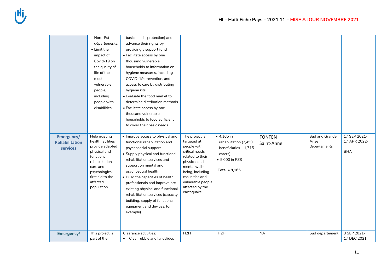|                                                 | Nord-Est<br>départements.<br>• Limit the<br>impact of<br>Covid-19 on<br>the quality of<br>life of the<br>most<br>vulnerable<br>people,<br>including<br>people with<br>disabilities | basic needs, protection) and<br>advance their rights by<br>providing a support fund<br>• Facilitate access by one<br>thousand vulnerable<br>households to information on<br>hygiene measures, including<br>COVID-19 prevention, and<br>access to care by distributing<br>hygiene kits<br>• Evaluate the food market to<br>determine distribution methods<br>• Facilitate access by one<br>thousand vulnerable<br>households to food sufficient<br>to cover their basic needs |                                                                                                                                                                                                                |                                                                                                                      |                             |                                        |                                            |
|-------------------------------------------------|------------------------------------------------------------------------------------------------------------------------------------------------------------------------------------|------------------------------------------------------------------------------------------------------------------------------------------------------------------------------------------------------------------------------------------------------------------------------------------------------------------------------------------------------------------------------------------------------------------------------------------------------------------------------|----------------------------------------------------------------------------------------------------------------------------------------------------------------------------------------------------------------|----------------------------------------------------------------------------------------------------------------------|-----------------------------|----------------------------------------|--------------------------------------------|
| Emergency/<br><b>Rehabilitation</b><br>services | Help existing<br>health facilities<br>provide adapted<br>physical and<br>functional<br>rehabilitation<br>care and<br>psychological<br>first aid to the<br>affected<br>population.  | • Improve access to physical and<br>functional rehabilitation and<br>psychosocial support<br>• Supply physical and functional<br>rehabilitation services and<br>support on mental and<br>psychosocial health<br>• Build the capacities of health<br>professionals and improve pre-<br>existing physical and functional<br>rehabilitation services (capacity<br>building, supply of functional<br>equipment and devices, for<br>example)                                      | The project is<br>targeted at<br>people with<br>critical needs<br>related to their<br>physical and<br>mental well-<br>being, including<br>casualties and<br>vulnerable people<br>affected by the<br>earthquake | $\bullet$ 4,165 in<br>rehabilitation (2,450<br>beneficiaries + 1,715<br>carers)<br>• 5,000 in PSS<br>Total = $9,165$ | <b>FONTEN</b><br>Saint-Anne | Sud and Grande<br>Anse<br>départements | 17 SEP 2021-<br>17 APR 2022-<br><b>BHA</b> |
| Emergency/                                      | This project is<br>part of the                                                                                                                                                     | Clearance activities:<br>Clear rubble and landslides<br>$\bullet$                                                                                                                                                                                                                                                                                                                                                                                                            | H <sub>2</sub> H                                                                                                                                                                                               | H <sub>2</sub> H                                                                                                     | <b>NA</b>                   | Sud département                        | 3 SEP 2021-<br>17 DEC 2021                 |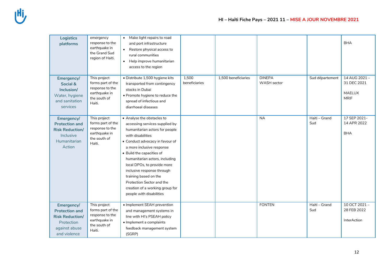| <b>Logistics</b><br>platforms                                                                                | emergency<br>response to the<br>earthquake in<br>the Grand Sud<br>region of Haiti.              | Make light repairs to road<br>and port infrastructure<br>• Restore physical access to<br>rural communities<br>Help improve humanitarian<br>$\bullet$<br>access to the region                                                                                                                                                                                                                                                         |                        |                     |                              |                      | <b>BHA</b>                                                  |
|--------------------------------------------------------------------------------------------------------------|-------------------------------------------------------------------------------------------------|--------------------------------------------------------------------------------------------------------------------------------------------------------------------------------------------------------------------------------------------------------------------------------------------------------------------------------------------------------------------------------------------------------------------------------------|------------------------|---------------------|------------------------------|----------------------|-------------------------------------------------------------|
| Emergency/<br>Social &<br>Inclusion/<br>Water, hygiene<br>and sanitation<br>services                         | This project<br>forms part of the<br>response to the<br>earthquake in<br>the south of<br>Haiti. | · Distribute 1,500 hygiene kits<br>transported from contingency<br>stocks in Dubai<br>• Promote hygiene to reduce the<br>spread of infectious and<br>diarrhoeal diseases                                                                                                                                                                                                                                                             | 1,500<br>beneficiaries | 1,500 beneficiaries | <b>DINEPA</b><br>WASH sector | Sud département      | 14 AUG 2021-<br>31 DEC 2021<br><b>MAELUX</b><br><b>MRIF</b> |
| Emergency/<br><b>Protection and</b><br><b>Risk Reduction/</b><br>Inclusive<br>Humanitarian<br>Action         | This project<br>forms part of the<br>response to the<br>earthquake in<br>the south of<br>Haiti. | • Analyse the obstacles to<br>accessing services supplied by<br>humanitarian actors for people<br>with disabilities<br>• Conduct advocacy in favour of<br>a more inclusive response<br>• Build the capacities of<br>humanitarian actors, including<br>local DPOs, to provide more<br>inclusive response through<br>training based on the<br>Protection Sector and the<br>creation of a working group for<br>people with disabilities |                        |                     | <b>NA</b>                    | Haiti - Grand<br>Sud | 17 SEP 2021-<br>14 APR 2022<br><b>BHA</b>                   |
| Emergency/<br><b>Protection and</b><br><b>Risk Reduction/</b><br>Protection<br>against abuse<br>and violence | This project<br>forms part of the<br>response to the<br>earthquake in<br>the south of<br>Haiti. | • Implement SEAH prevention<br>and management systems in<br>line with HI's PSEAH policy<br>· Implement a complaints<br>feedback management system<br>(SGRP)                                                                                                                                                                                                                                                                          |                        |                     | <b>FONTEN</b>                | Haiti - Grand<br>Sud | 10 OCT 2021-<br>28 FEB 2022<br><b>InterAction</b>           |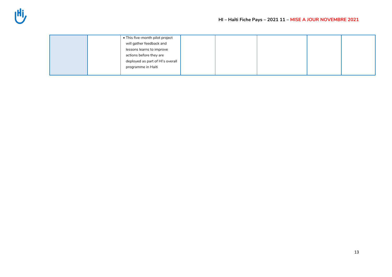| • This five-month pilot project  |  |  |  |
|----------------------------------|--|--|--|
| will gather feedback and         |  |  |  |
| lessons learns to improve        |  |  |  |
| actions before they are          |  |  |  |
| deployed as part of HI's overall |  |  |  |
| programme in Haiti               |  |  |  |
|                                  |  |  |  |